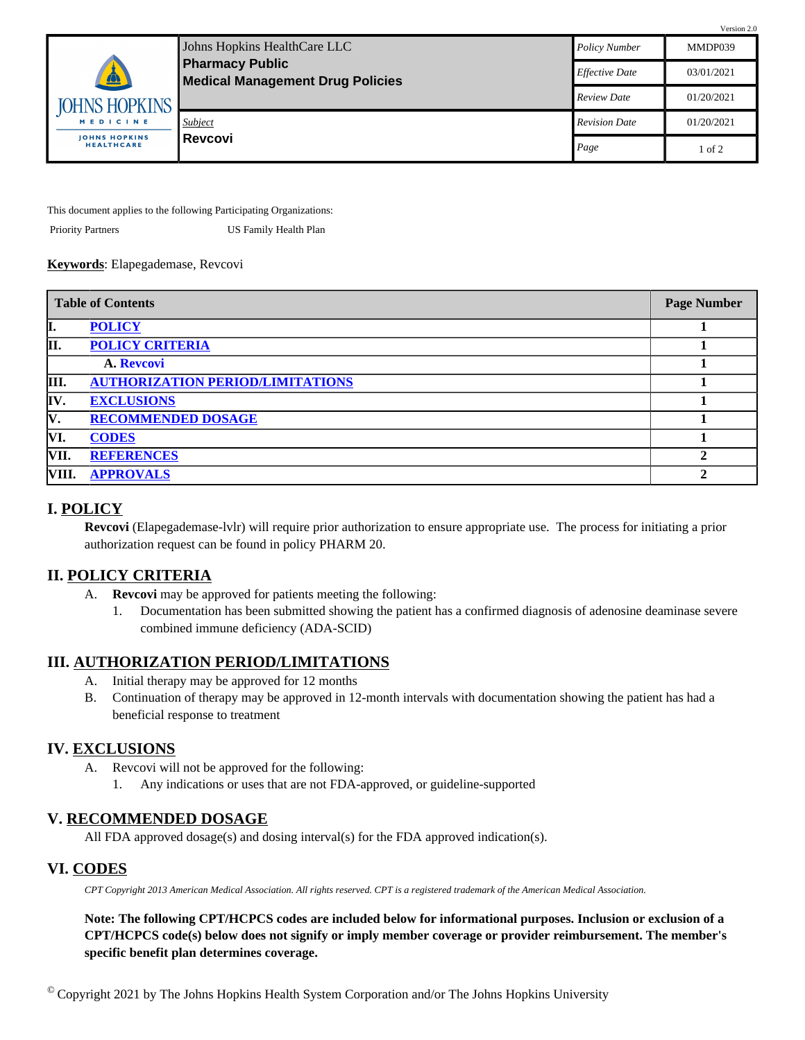| <b>Pharmacy Public</b><br>$\triangle$     | Johns Hopkins HealthCare LLC            | <b>Policy Number</b>  | MMDP039    |
|-------------------------------------------|-----------------------------------------|-----------------------|------------|
|                                           | <b>Medical Management Drug Policies</b> | <b>Effective Date</b> | 03/01/2021 |
| <b>JOHNS HOPKINS</b>                      |                                         | <b>Review Date</b>    | 01/20/2021 |
| MEDICINE                                  | <b>Subject</b>                          | <b>Revision Date</b>  | 01/20/2021 |
| <b>JOHNS HOPKINS</b><br><b>HEALTHCARE</b> | i Revcovi                               | Page                  | of 2       |

Version 2.0

This document applies to the following Participating Organizations:

Priority Partners US Family Health Plan

#### **Keywords**: Elapegademase, Revcovi

| <b>Table of Contents</b> |                                         | <b>Page Number</b> |
|--------------------------|-----------------------------------------|--------------------|
| I.                       | <b>POLICY</b>                           |                    |
| II.                      | <b>POLICY CRITERIA</b>                  |                    |
|                          | A. Revcovi                              |                    |
| III.                     | <b>AUTHORIZATION PERIOD/LIMITATIONS</b> |                    |
| IV.                      | <b>EXCLUSIONS</b>                       |                    |
| IV.                      | <b>RECOMMENDED DOSAGE</b>               |                    |
| VI.                      | <b>CODES</b>                            |                    |
| VII.                     | <b>REFERENCES</b>                       |                    |
| VIII.                    | <b>APPROVALS</b>                        |                    |

## <span id="page-0-0"></span>**I. POLICY**

**Revcovi** (Elapegademase-lvlr) will require prior authorization to ensure appropriate use. The process for initiating a prior authorization request can be found in policy PHARM 20.

### <span id="page-0-1"></span>**II. POLICY CRITERIA**

- <span id="page-0-2"></span>A. **Revcovi** may be approved for patients meeting the following:
	- 1. Documentation has been submitted showing the patient has a confirmed diagnosis of adenosine deaminase severe combined immune deficiency (ADA-SCID)

### <span id="page-0-3"></span>**III. AUTHORIZATION PERIOD/LIMITATIONS**

- A. Initial therapy may be approved for 12 months
- B. Continuation of therapy may be approved in 12-month intervals with documentation showing the patient has had a beneficial response to treatment

### <span id="page-0-4"></span>**IV. EXCLUSIONS**

- A. Revcovi will not be approved for the following:
	- 1. Any indications or uses that are not FDA-approved, or guideline-supported

### <span id="page-0-5"></span>**V. RECOMMENDED DOSAGE**

All FDA approved dosage(s) and dosing interval(s) for the FDA approved indication(s).

### <span id="page-0-6"></span>**VI. CODES**

*CPT Copyright 2013 American Medical Association. All rights reserved. CPT is a registered trademark of the American Medical Association.*

**Note: The following CPT/HCPCS codes are included below for informational purposes. Inclusion or exclusion of a CPT/HCPCS code(s) below does not signify or imply member coverage or provider reimbursement. The member's specific benefit plan determines coverage.** 

 $^{\circ}$  Copyright 2021 by The Johns Hopkins Health System Corporation and/or The Johns Hopkins University